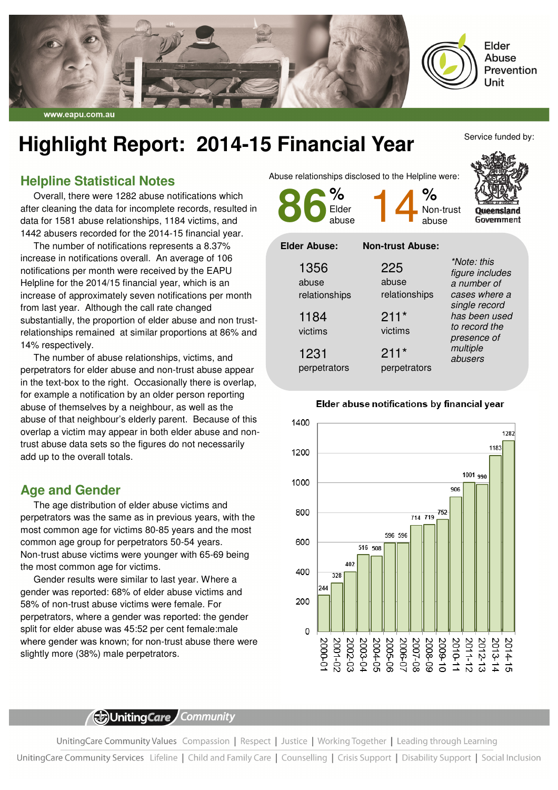

# **Highlight Report: 2014-15 Financial Year**

## **Helpline Statistical Notes**

Overall, there were 1282 abuse notifications which after cleaning the data for incomplete records, resulted in data for 1581 abuse relationships, 1184 victims, and 1442 abusers recorded for the 2014-15 financial year.

The number of notifications represents a 8.37% increase in notifications overall. An average of 106 notifications per month were received by the EAPU Helpline for the 2014/15 financial year, which is an increase of approximately seven notifications per month from last year. Although the call rate changed substantially, the proportion of elder abuse and non trustrelationships remained at similar proportions at 86% and 14% respectively.

The number of abuse relationships, victims, and perpetrators for elder abuse and non-trust abuse appear in the text-box to the right. Occasionally there is overlap, for example a notification by an older person reporting abuse of themselves by a neighbour, as well as the abuse of that neighbour's elderly parent. Because of this overlap a victim may appear in both elder abuse and nontrust abuse data sets so the figures do not necessarily add up to the overall totals.

### **Age and Gender**

The age distribution of elder abuse victims and perpetrators was the same as in previous years, with the most common age for victims 80-85 years and the most common age group for perpetrators 50-54 years. Non-trust abuse victims were younger with 65-69 being the most common age for victims.

Gender results were similar to last year. Where a gender was reported: 68% of elder abuse victims and 58% of non-trust abuse victims were female. For perpetrators, where a gender was reported: the gender split for elder abuse was 45:52 per cent female:male where gender was known; for non-trust abuse there were slightly more (38%) male perpetrators.

Abuse relationships disclosed to the Helpline were:



Service funded by:

| 1356                   | 225                    | *Note: this<br>figure includes                                                        |
|------------------------|------------------------|---------------------------------------------------------------------------------------|
| abuse<br>relationships | abuse<br>relationships | a number of<br>cases where a                                                          |
| 1184<br>victims        | $211*$<br>victims      | single record<br>has been used<br>to record the<br>presence of<br>multiple<br>abusers |
| 1231<br>perpetrators   | $211*$<br>perpetrators |                                                                                       |



#### Elder abuse notifications by financial year

(b)UnitingCare Community

UnitingCare Community Values Compassion | Respect | Justice | Working Together | Leading through Learning

UnitingCare Community Services Lifeline | Child and Family Care | Counselling | Crisis Support | Disability Support | Social Inclusion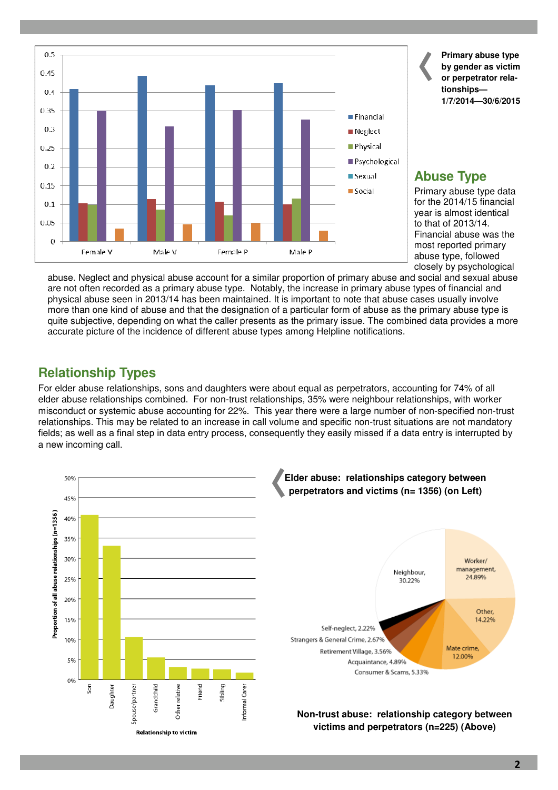

**Primary abuse type by gender as victim or perpetrator relationships— 1/7/2014—30/6/2015** 

# **Abuse Type**

Primary abuse type data for the 2014/15 financial year is almost identical to that of 2013/14. Financial abuse was the most reported primary abuse type, followed closely by psychological

abuse. Neglect and physical abuse account for a similar proportion of primary abuse and social and sexual abuse are not often recorded as a primary abuse type. Notably, the increase in primary abuse types of financial and physical abuse seen in 2013/14 has been maintained. It is important to note that abuse cases usually involve more than one kind of abuse and that the designation of a particular form of abuse as the primary abuse type is quite subjective, depending on what the caller presents as the primary issue. The combined data provides a more accurate picture of the incidence of different abuse types among Helpline notifications.

# **Relationship Types**

For elder abuse relationships, sons and daughters were about equal as perpetrators, accounting for 74% of all elder abuse relationships combined. For non-trust relationships, 35% were neighbour relationships, with worker misconduct or systemic abuse accounting for 22%. This year there were a large number of non-specified non-trust relationships. This may be related to an increase in call volume and specific non-trust situations are not mandatory fields; as well as a final step in data entry process, consequently they easily missed if a data entry is interrupted by a new incoming call.